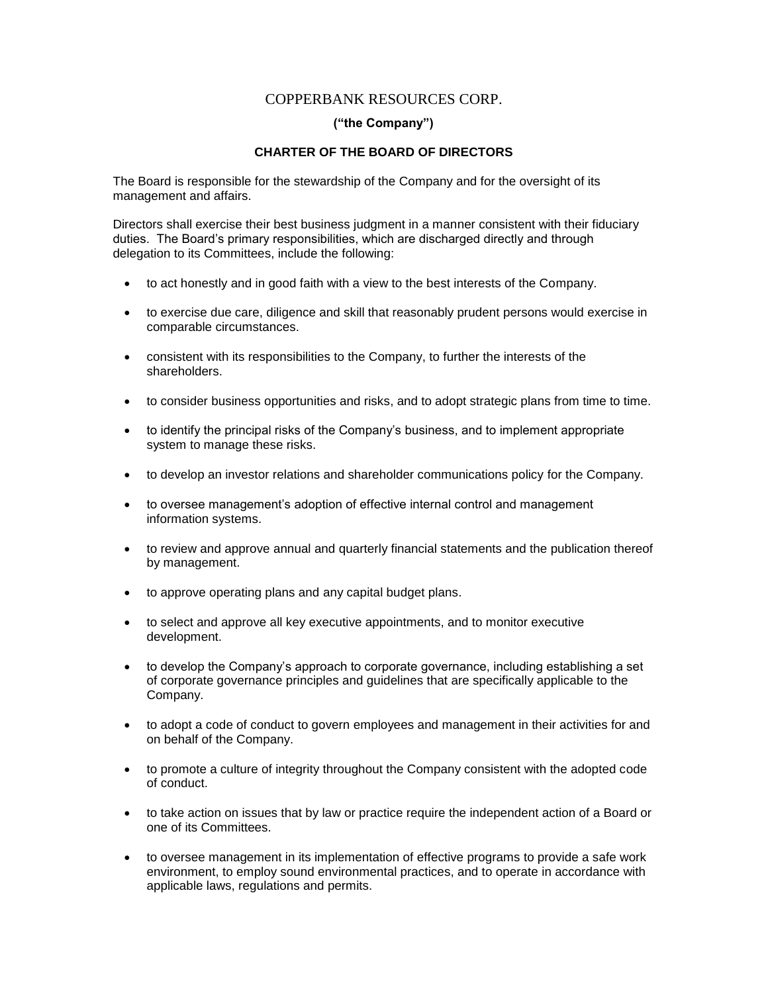## COPPERBANK RESOURCES CORP.

## **("the Company")**

## **CHARTER OF THE BOARD OF DIRECTORS**

The Board is responsible for the stewardship of the Company and for the oversight of its management and affairs.

Directors shall exercise their best business judgment in a manner consistent with their fiduciary duties. The Board's primary responsibilities, which are discharged directly and through delegation to its Committees, include the following:

- to act honestly and in good faith with a view to the best interests of the Company.
- to exercise due care, diligence and skill that reasonably prudent persons would exercise in comparable circumstances.
- consistent with its responsibilities to the Company, to further the interests of the shareholders.
- to consider business opportunities and risks, and to adopt strategic plans from time to time.
- to identify the principal risks of the Company's business, and to implement appropriate system to manage these risks.
- to develop an investor relations and shareholder communications policy for the Company.
- to oversee management's adoption of effective internal control and management information systems.
- to review and approve annual and quarterly financial statements and the publication thereof by management.
- to approve operating plans and any capital budget plans.
- to select and approve all key executive appointments, and to monitor executive development.
- to develop the Company's approach to corporate governance, including establishing a set of corporate governance principles and guidelines that are specifically applicable to the Company.
- to adopt a code of conduct to govern employees and management in their activities for and on behalf of the Company.
- to promote a culture of integrity throughout the Company consistent with the adopted code of conduct.
- to take action on issues that by law or practice require the independent action of a Board or one of its Committees.
- to oversee management in its implementation of effective programs to provide a safe work environment, to employ sound environmental practices, and to operate in accordance with applicable laws, regulations and permits.